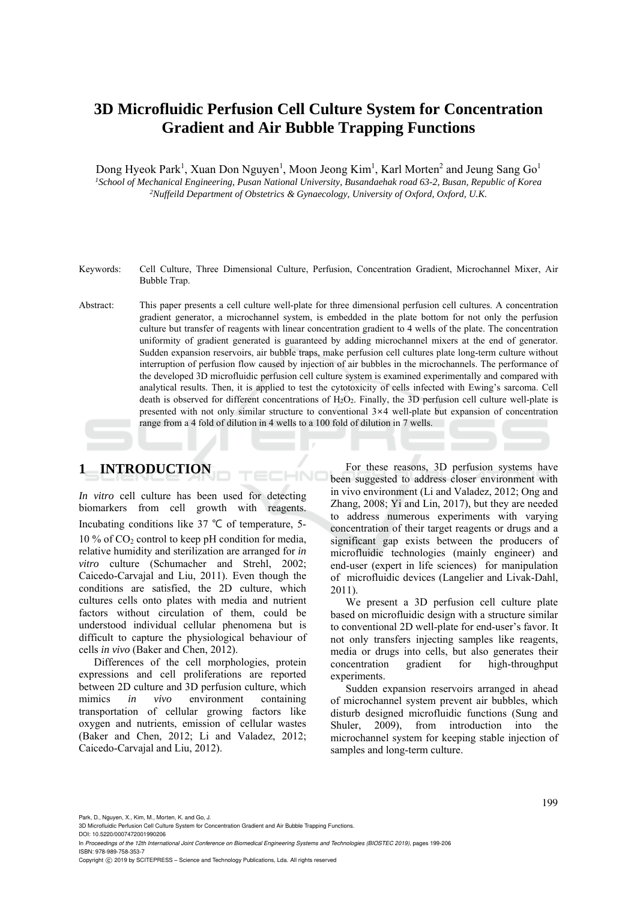# **3D Microfluidic Perfusion Cell Culture System for Concentration Gradient and Air Bubble Trapping Functions**

Dong Hyeok Park<sup>1</sup>, Xuan Don Nguyen<sup>1</sup>, Moon Jeong Kim<sup>1</sup>, Karl Morten<sup>2</sup> and Jeung Sang Go<sup>1</sup> <sup>1</sup> School of Mechanical Engineering, Pusan National University, Busandaehak road 63-2, Busan, Republic of Korea <sup>2</sup><br><sup>2</sup> Nuffeild Denartment of Obstetrics & Gynaecology University of Oxford, Oxford, U.K. *Nuffeild Department of Obstetrics & Gynaecology, University of Oxford, Oxford, U.K.* 

- Keywords: Cell Culture, Three Dimensional Culture, Perfusion, Concentration Gradient, Microchannel Mixer, Air Bubble Trap.
- Abstract: This paper presents a cell culture well-plate for three dimensional perfusion cell cultures. A concentration gradient generator, a microchannel system, is embedded in the plate bottom for not only the perfusion culture but transfer of reagents with linear concentration gradient to 4 wells of the plate. The concentration uniformity of gradient generated is guaranteed by adding microchannel mixers at the end of generator. Sudden expansion reservoirs, air bubble traps, make perfusion cell cultures plate long-term culture without interruption of perfusion flow caused by injection of air bubbles in the microchannels. The performance of the developed 3D microfluidic perfusion cell culture system is examined experimentally and compared with analytical results. Then, it is applied to test the cytotoxicity of cells infected with Ewing's sarcoma. Cell death is observed for different concentrations of  $H_2O_2$ . Finally, the 3D perfusion cell culture well-plate is presented with not only similar structure to conventional 3×4 well-plate but expansion of concentration range from a 4 fold of dilution in 4 wells to a 100 fold of dilution in 7 wells.

HNC

## **1 INTRODUCTION**

*In vitro* cell culture has been used for detecting biomarkers from cell growth with reagents. Incubating conditions like 37 ℃ of temperature, 5- 10 % of  $CO<sub>2</sub>$  control to keep pH condition for media, relative humidity and sterilization are arranged for *in vitro* culture (Schumacher and Strehl, 2002; Caicedo-Carvajal and Liu, 2011). Even though the conditions are satisfied, the 2D culture, which cultures cells onto plates with media and nutrient factors without circulation of them, could be understood individual cellular phenomena but is difficult to capture the physiological behaviour of cells *in vivo* (Baker and Chen, 2012).

Differences of the cell morphologies, protein expressions and cell proliferations are reported between 2D culture and 3D perfusion culture, which mimics *in vivo* environment containing transportation of cellular growing factors like oxygen and nutrients, emission of cellular wastes (Baker and Chen, 2012; Li and Valadez, 2012; Caicedo-Carvajal and Liu, 2012).

For these reasons, 3D perfusion systems have been suggested to address closer environment with in vivo environment (Li and Valadez, 2012; Ong and Zhang, 2008; Yi and Lin, 2017), but they are needed to address numerous experiments with varying concentration of their target reagents or drugs and a significant gap exists between the producers of microfluidic technologies (mainly engineer) and end-user (expert in life sciences) for manipulation of microfluidic devices (Langelier and Livak-Dahl, 2011).

We present a 3D perfusion cell culture plate based on microfluidic design with a structure similar to conventional 2D well-plate for end-user's favor. It not only transfers injecting samples like reagents, media or drugs into cells, but also generates their concentration gradient for high-throughput experiments.

Sudden expansion reservoirs arranged in ahead of microchannel system prevent air bubbles, which disturb designed microfluidic functions (Sung and Shuler, 2009), from introduction into the microchannel system for keeping stable injection of samples and long-term culture.

Park, D., Nguyen, X., Kim, M., Morten, K. and Go, J.

In *Proceedings of the 12th International Joint Conference on Biomedical Engineering Systems and Technologies (BIOSTEC 2019)*, pages 199-206 ISBN: 978-989-758-353-7

Copyright (C) 2019 by SCITEPRESS - Science and Technology Publications, Lda. All rights reserved

<sup>3</sup>D Microfluidic Perfusion Cell Culture System for Concentration Gradient and Air Bubble Trapping Functions. DOI: 10.5220/0007472001990206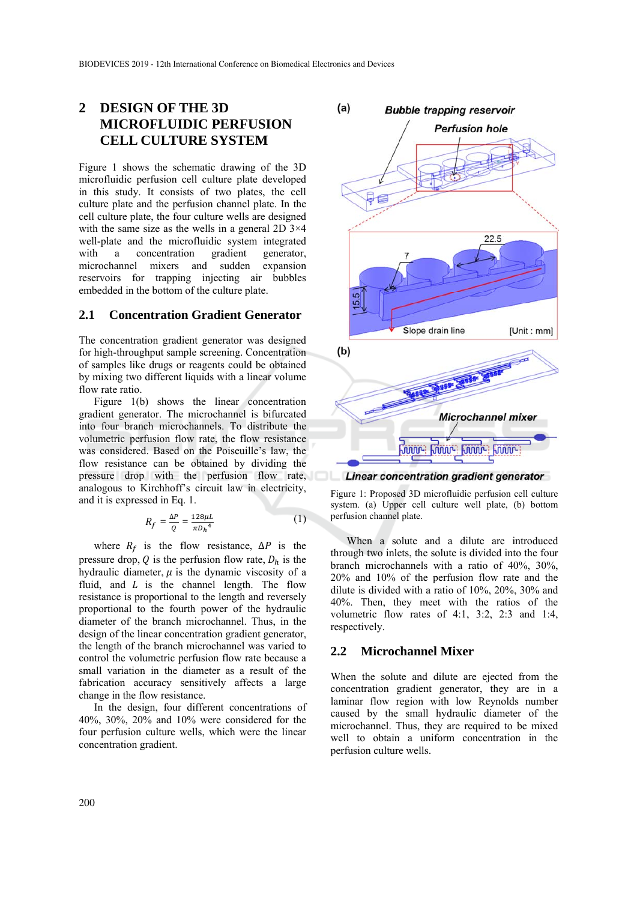### **2 DESIGN OF THE 3D MICROFLUIDIC PERFUSION CELL CULTURE SYSTEM**

Figure 1 shows the schematic drawing of the 3D microfluidic perfusion cell culture plate developed in this study. It consists of two plates, the cell culture plate and the perfusion channel plate. In the cell culture plate, the four culture wells are designed with the same size as the wells in a general 2D 3×4 well-plate and the microfluidic system integrated<br>with a concentration gradient generator. with  $a$  concentration microchannel mixers and sudden expansion reservoirs for trapping injecting air bubbles embedded in the bottom of the culture plate.

#### **2.1 Concentration Gradient Generator**

The concentration gradient generator was designed for high-throughput sample screening. Concentration of samples like drugs or reagents could be obtained by mixing two different liquids with a linear volume flow rate ratio.

Figure 1(b) shows the linear concentration gradient generator. The microchannel is bifurcated into four branch microchannels. To distribute the volumetric perfusion flow rate, the flow resistance was considered. Based on the Poiseuille's law, the flow resistance can be obtained by dividing the pressure drop with the perfusion flow rate, analogous to Kirchhoff's circuit law in electricity, and it is expressed in Eq. 1.

$$
R_f = \frac{\Delta P}{Q} = \frac{128\mu L}{\pi D_h^4} \tag{1}
$$

where  $R_f$  is the flow resistance,  $\Delta P$  is the pressure drop,  $Q$  is the perfusion flow rate,  $D_h$  is the hydraulic diameter,  $\mu$  is the dynamic viscosity of a fluid, and  $L$  is the channel length. The flow resistance is proportional to the length and reversely proportional to the fourth power of the hydraulic diameter of the branch microchannel. Thus, in the design of the linear concentration gradient generator, the length of the branch microchannel was varied to control the volumetric perfusion flow rate because a small variation in the diameter as a result of the fabrication accuracy sensitively affects a large change in the flow resistance.

In the design, four different concentrations of 40%, 30%, 20% and 10% were considered for the four perfusion culture wells, which were the linear concentration gradient.



Linear concentration gradient generator

Figure 1: Proposed 3D microfluidic perfusion cell culture system. (a) Upper cell culture well plate, (b) bottom perfusion channel plate.

When a solute and a dilute are introduced through two inlets, the solute is divided into the four branch microchannels with a ratio of 40%, 30%, 20% and 10% of the perfusion flow rate and the dilute is divided with a ratio of 10%, 20%, 30% and 40%. Then, they meet with the ratios of the volumetric flow rates of 4:1, 3:2, 2:3 and 1:4, respectively.

#### **2.2 Microchannel Mixer**

When the solute and dilute are ejected from the concentration gradient generator, they are in a laminar flow region with low Reynolds number caused by the small hydraulic diameter of the microchannel. Thus, they are required to be mixed well to obtain a uniform concentration in the perfusion culture wells.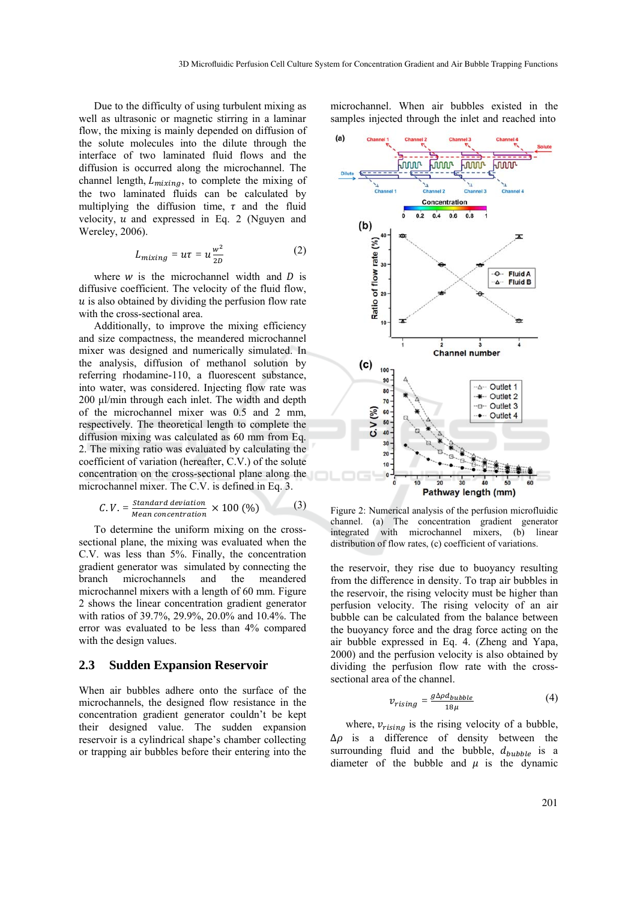Due to the difficulty of using turbulent mixing as well as ultrasonic or magnetic stirring in a laminar flow, the mixing is mainly depended on diffusion of the solute molecules into the dilute through the interface of two laminated fluid flows and the diffusion is occurred along the microchannel. The channel length,  $L_{mixing}$ , to complete the mixing of the two laminated fluids can be calculated by multiplying the diffusion time,  $\tau$  and the fluid velocity,  $u$  and expressed in Eq. 2 (Nguyen and Wereley, 2006).

$$
L_{mixing} = u\tau = u\frac{w^2}{2D} \tag{2}
$$

where  $w$  is the microchannel width and  $D$  is diffusive coefficient. The velocity of the fluid flow,  $u$  is also obtained by dividing the perfusion flow rate with the cross-sectional area.

Additionally, to improve the mixing efficiency and size compactness, the meandered microchannel mixer was designed and numerically simulated. In the analysis, diffusion of methanol solution by referring rhodamine-110, a fluorescent substance, into water, was considered. Injecting flow rate was 200 μl/min through each inlet. The width and depth of the microchannel mixer was 0.5 and 2 mm, respectively. The theoretical length to complete the diffusion mixing was calculated as 60 mm from Eq. 2. The mixing ratio was evaluated by calculating the coefficient of variation (hereafter, C.V.) of the solute concentration on the cross-sectional plane along the microchannel mixer. The C.V. is defined in Eq. 3.

$$
C.V. = \frac{Standard\ deviation}{Mean\ concentration} \times 100\ (%) \tag{3}
$$

To determine the uniform mixing on the crosssectional plane, the mixing was evaluated when the C.V. was less than 5%. Finally, the concentration gradient generator was simulated by connecting the branch microchannels and the meandered microchannel mixers with a length of 60 mm. Figure 2 shows the linear concentration gradient generator with ratios of 39.7%, 29.9%, 20.0% and 10.4%. The error was evaluated to be less than 4% compared with the design values.

#### **2.3 Sudden Expansion Reservoir**

When air bubbles adhere onto the surface of the microchannels, the designed flow resistance in the concentration gradient generator couldn't be kept their designed value. The sudden expansion reservoir is a cylindrical shape's chamber collecting or trapping air bubbles before their entering into the

microchannel. When air bubbles existed in the samples injected through the inlet and reached into



Figure 2: Numerical analysis of the perfusion microfluidic channel. (a) The concentration gradient generator integrated with microchannel mixers, (b) linear distribution of flow rates, (c) coefficient of variations.

the reservoir, they rise due to buoyancy resulting from the difference in density. To trap air bubbles in the reservoir, the rising velocity must be higher than perfusion velocity. The rising velocity of an air bubble can be calculated from the balance between the buoyancy force and the drag force acting on the air bubble expressed in Eq. 4. (Zheng and Yapa, 2000) and the perfusion velocity is also obtained by dividing the perfusion flow rate with the crosssectional area of the channel.

$$
v_{rising} = \frac{g \Delta \rho d_{bubble}}{18\mu} \tag{4}
$$

where,  $v_{rising}$  is the rising velocity of a bubble,  $\Delta \rho$  is a difference of density between the surrounding fluid and the bubble,  $d_{bubble}$  is a diameter of the bubble and  $\mu$  is the dynamic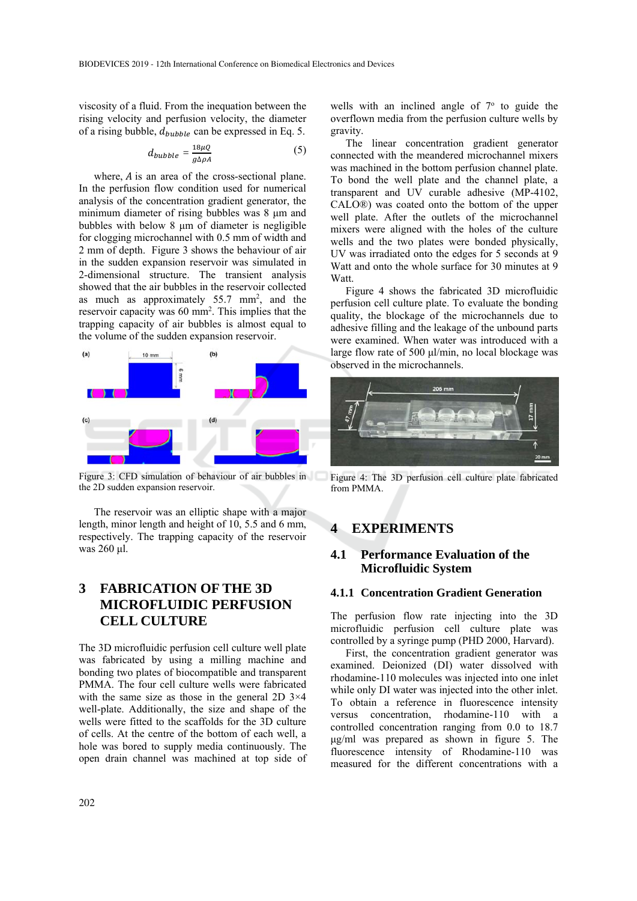viscosity of a fluid. From the inequation between the rising velocity and perfusion velocity, the diameter of a rising bubble,  $d_{bubble}$  can be expressed in Eq. 5.

$$
d_{bubble} = \frac{18\mu Q}{g\Delta\rho A} \tag{5}
$$

where,  $A$  is an area of the cross-sectional plane. In the perfusion flow condition used for numerical analysis of the concentration gradient generator, the minimum diameter of rising bubbles was 8 μm and bubbles with below 8 μm of diameter is negligible for clogging microchannel with 0.5 mm of width and 2 mm of depth. Figure 3 shows the behaviour of air in the sudden expansion reservoir was simulated in 2-dimensional structure. The transient analysis showed that the air bubbles in the reservoir collected as much as approximately  $55.7 \text{ mm}^2$ , and the reservoir capacity was 60 mm<sup>2</sup>. This implies that the trapping capacity of air bubbles is almost equal to the volume of the sudden expansion reservoir.



Figure 3: CFD simulation of behaviour of air bubbles in the 2D sudden expansion reservoir.

The reservoir was an elliptic shape with a major length, minor length and height of 10, 5.5 and 6 mm, respectively. The trapping capacity of the reservoir was 260 μl.

## **3 FABRICATION OF THE 3D MICROFLUIDIC PERFUSION CELL CULTURE**

The 3D microfluidic perfusion cell culture well plate was fabricated by using a milling machine and bonding two plates of biocompatible and transparent PMMA. The four cell culture wells were fabricated with the same size as those in the general 2D 3×4 well-plate. Additionally, the size and shape of the wells were fitted to the scaffolds for the 3D culture of cells. At the centre of the bottom of each well, a hole was bored to supply media continuously. The open drain channel was machined at top side of

wells with an inclined angle of  $7°$  to guide the overflown media from the perfusion culture wells by gravity.

The linear concentration gradient generator connected with the meandered microchannel mixers was machined in the bottom perfusion channel plate. To bond the well plate and the channel plate, a transparent and UV curable adhesive (MP-4102, CALO®) was coated onto the bottom of the upper well plate. After the outlets of the microchannel mixers were aligned with the holes of the culture wells and the two plates were bonded physically, UV was irradiated onto the edges for 5 seconds at 9 Watt and onto the whole surface for 30 minutes at 9 Watt.

Figure 4 shows the fabricated 3D microfluidic perfusion cell culture plate. To evaluate the bonding quality, the blockage of the microchannels due to adhesive filling and the leakage of the unbound parts were examined. When water was introduced with a large flow rate of 500 μl/min, no local blockage was observed in the microchannels.



Figure 4: The 3D perfusion cell culture plate fabricated from PMMA.

### **4 EXPERIMENTS**

#### **4.1 Performance Evaluation of the Microfluidic System**

#### **4.1.1 Concentration Gradient Generation**

The perfusion flow rate injecting into the 3D microfluidic perfusion cell culture plate was controlled by a syringe pump (PHD 2000, Harvard).

First, the concentration gradient generator was examined. Deionized (DI) water dissolved with rhodamine-110 molecules was injected into one inlet while only DI water was injected into the other inlet. To obtain a reference in fluorescence intensity versus concentration, rhodamine-110 with a controlled concentration ranging from 0.0 to 18.7 μg/ml was prepared as shown in figure 5. The fluorescence intensity of Rhodamine-110 was measured for the different concentrations with a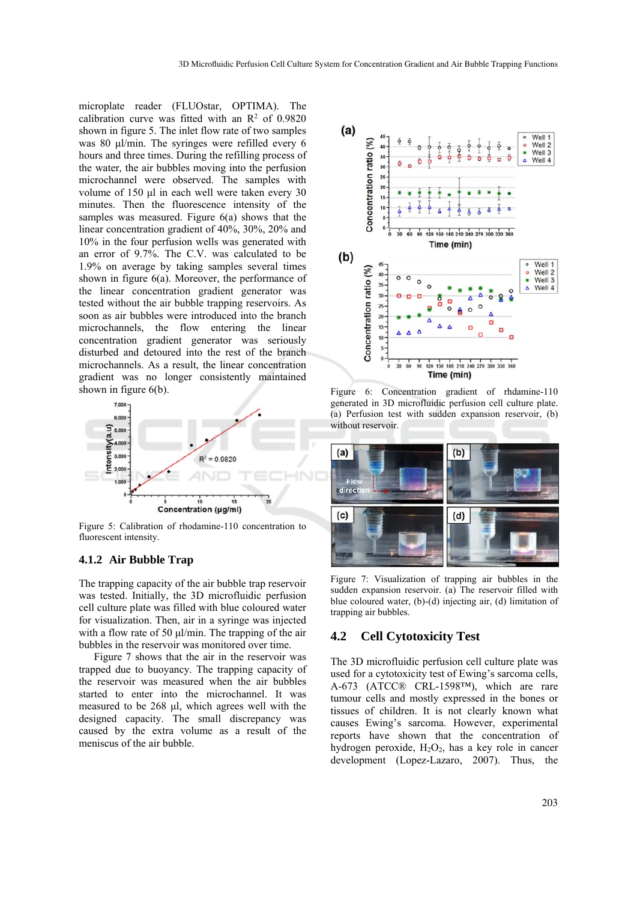microplate reader (FLUOstar, OPTIMA). The calibration curve was fitted with an  $\mathbb{R}^2$  of 0.9820 shown in figure 5. The inlet flow rate of two samples was 80 μl/min. The syringes were refilled every 6 hours and three times. During the refilling process of the water, the air bubbles moving into the perfusion microchannel were observed. The samples with volume of 150 μl in each well were taken every 30 minutes. Then the fluorescence intensity of the samples was measured. Figure 6(a) shows that the linear concentration gradient of 40%, 30%, 20% and 10% in the four perfusion wells was generated with an error of 9.7%. The C.V. was calculated to be 1.9% on average by taking samples several times shown in figure 6(a). Moreover, the performance of the linear concentration gradient generator was tested without the air bubble trapping reservoirs. As soon as air bubbles were introduced into the branch microchannels, the flow entering the linear concentration gradient generator was seriously disturbed and detoured into the rest of the branch microchannels. As a result, the linear concentration gradient was no longer consistently maintained shown in figure 6(b).



Figure 5: Calibration of rhodamine-110 concentration to fluorescent intensity.

#### **4.1.2 Air Bubble Trap**

The trapping capacity of the air bubble trap reservoir was tested. Initially, the 3D microfluidic perfusion cell culture plate was filled with blue coloured water for visualization. Then, air in a syringe was injected with a flow rate of 50 μl/min. The trapping of the air bubbles in the reservoir was monitored over time.

Figure 7 shows that the air in the reservoir was trapped due to buoyancy. The trapping capacity of the reservoir was measured when the air bubbles started to enter into the microchannel. It was measured to be 268 μl, which agrees well with the designed capacity. The small discrepancy was caused by the extra volume as a result of the meniscus of the air bubble.



Figure 6: Concentration gradient of rhdamine-110 generated in 3D microfluidic perfusion cell culture plate. (a) Perfusion test with sudden expansion reservoir, (b) without reservoir.



Figure 7: Visualization of trapping air bubbles in the sudden expansion reservoir. (a) The reservoir filled with blue coloured water, (b)-(d) injecting air, (d) limitation of trapping air bubbles.

#### **4.2 Cell Cytotoxicity Test**

The 3D microfluidic perfusion cell culture plate was used for a cytotoxicity test of Ewing's sarcoma cells, A-673 (ATCC® CRL-1598™), which are rare tumour cells and mostly expressed in the bones or tissues of children. It is not clearly known what causes Ewing's sarcoma. However, experimental reports have shown that the concentration of hydrogen peroxide,  $H_2O_2$ , has a key role in cancer development (Lopez-Lazaro, 2007). Thus, the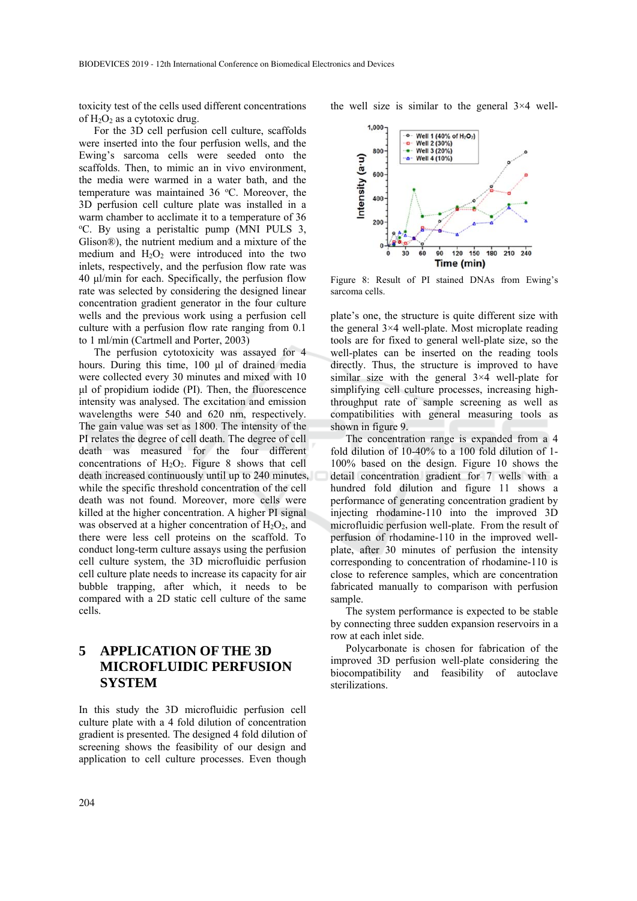toxicity test of the cells used different concentrations of  $H_2O_2$  as a cytotoxic drug.

For the 3D cell perfusion cell culture, scaffolds were inserted into the four perfusion wells, and the Ewing's sarcoma cells were seeded onto the scaffolds. Then, to mimic an in vivo environment, the media were warmed in a water bath, and the temperature was maintained 36 °C. Moreover, the 3D perfusion cell culture plate was installed in a warm chamber to acclimate it to a temperature of 36 C. By using a peristaltic pump (MNI PULS 3, Glison®), the nutrient medium and a mixture of the medium and  $H_2O_2$  were introduced into the two inlets, respectively, and the perfusion flow rate was 40 μl/min for each. Specifically, the perfusion flow rate was selected by considering the designed linear concentration gradient generator in the four culture wells and the previous work using a perfusion cell culture with a perfusion flow rate ranging from 0.1 to 1 ml/min (Cartmell and Porter, 2003)

The perfusion cytotoxicity was assayed for 4 hours. During this time, 100 μl of drained media were collected every 30 minutes and mixed with 10 μl of propidium iodide (PI). Then, the fluorescence intensity was analysed. The excitation and emission wavelengths were 540 and 620 nm, respectively. The gain value was set as 1800. The intensity of the PI relates the degree of cell death. The degree of cell death was measured for the four different concentrations of  $H_2O_2$ . Figure 8 shows that cell death increased continuously until up to 240 minutes, while the specific threshold concentration of the cell death was not found. Moreover, more cells were killed at the higher concentration. A higher PI signal was observed at a higher concentration of  $H_2O_2$ , and there were less cell proteins on the scaffold. To conduct long-term culture assays using the perfusion cell culture system, the 3D microfluidic perfusion cell culture plate needs to increase its capacity for air bubble trapping, after which, it needs to be compared with a 2D static cell culture of the same cells.

### **5 APPLICATION OF THE 3D MICROFLUIDIC PERFUSION SYSTEM**

In this study the 3D microfluidic perfusion cell culture plate with a 4 fold dilution of concentration gradient is presented. The designed 4 fold dilution of screening shows the feasibility of our design and application to cell culture processes. Even though

the well size is similar to the general 3×4 well-



Figure 8: Result of PI stained DNAs from Ewing's sarcoma cells.

plate's one, the structure is quite different size with the general 3×4 well-plate. Most microplate reading tools are for fixed to general well-plate size, so the well-plates can be inserted on the reading tools directly. Thus, the structure is improved to have similar size with the general 3×4 well-plate for simplifying cell culture processes, increasing highthroughput rate of sample screening as well as compatibilities with general measuring tools as shown in figure 9.

The concentration range is expanded from a 4 fold dilution of 10-40% to a 100 fold dilution of 1- 100% based on the design. Figure 10 shows the detail concentration gradient for 7 wells with a hundred fold dilution and figure 11 shows a performance of generating concentration gradient by injecting rhodamine-110 into the improved 3D microfluidic perfusion well-plate. From the result of perfusion of rhodamine-110 in the improved wellplate, after 30 minutes of perfusion the intensity corresponding to concentration of rhodamine-110 is close to reference samples, which are concentration fabricated manually to comparison with perfusion sample.

The system performance is expected to be stable by connecting three sudden expansion reservoirs in a row at each inlet side.

Polycarbonate is chosen for fabrication of the improved 3D perfusion well-plate considering the biocompatibility and feasibility of autoclave sterilizations.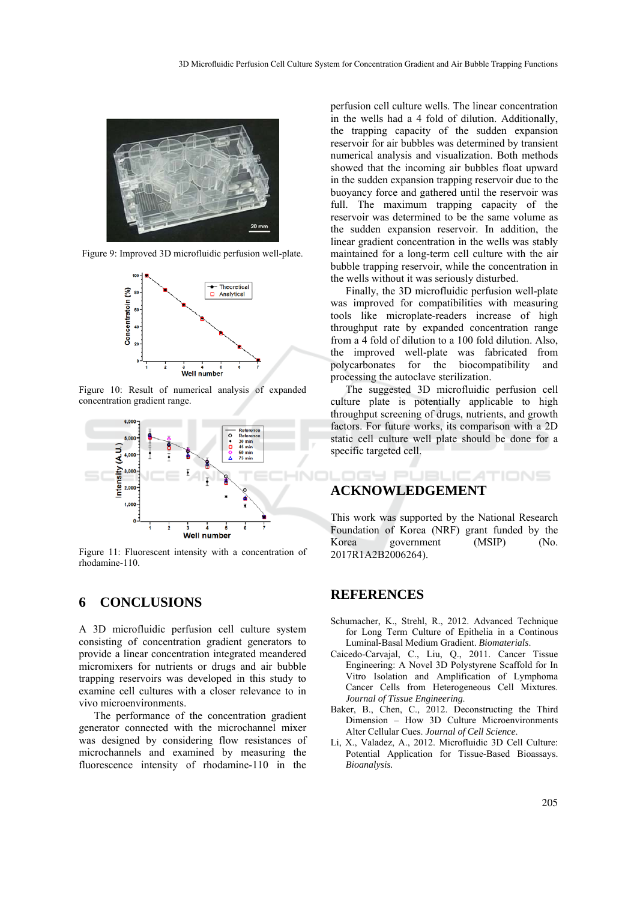

Figure 9: Improved 3D microfluidic perfusion well-plate.



Figure 10: Result of numerical analysis of expanded concentration gradient range.



Figure 11: Fluorescent intensity with a concentration of rhodamine-110.

### **6 CONCLUSIONS**

A 3D microfluidic perfusion cell culture system consisting of concentration gradient generators to provide a linear concentration integrated meandered micromixers for nutrients or drugs and air bubble trapping reservoirs was developed in this study to examine cell cultures with a closer relevance to in vivo microenvironments.

The performance of the concentration gradient generator connected with the microchannel mixer was designed by considering flow resistances of microchannels and examined by measuring the fluorescence intensity of rhodamine-110 in the

perfusion cell culture wells. The linear concentration in the wells had a 4 fold of dilution. Additionally, the trapping capacity of the sudden expansion reservoir for air bubbles was determined by transient numerical analysis and visualization. Both methods showed that the incoming air bubbles float upward in the sudden expansion trapping reservoir due to the buoyancy force and gathered until the reservoir was full. The maximum trapping capacity of the reservoir was determined to be the same volume as the sudden expansion reservoir. In addition, the linear gradient concentration in the wells was stably maintained for a long-term cell culture with the air bubble trapping reservoir, while the concentration in the wells without it was seriously disturbed.

Finally, the 3D microfluidic perfusion well-plate was improved for compatibilities with measuring tools like microplate-readers increase of high throughput rate by expanded concentration range from a 4 fold of dilution to a 100 fold dilution. Also, the improved well-plate was fabricated from polycarbonates for the biocompatibility and processing the autoclave sterilization.

The suggested 3D microfluidic perfusion cell culture plate is potentially applicable to high throughput screening of drugs, nutrients, and growth factors. For future works, its comparison with a 2D static cell culture well plate should be done for a specific targeted cell.



This work was supported by the National Research Foundation of Korea (NRF) grant funded by the Korea government (MSIP) (No. 2017R1A2B2006264).

#### **REFERENCES**

- Schumacher, K., Strehl, R., 2012. Advanced Technique for Long Term Culture of Epithelia in a Continous Luminal-Basal Medium Gradient. *Biomaterials*.
- Caicedo-Carvajal, C., Liu, Q., 2011. Cancer Tissue Engineering: A Novel 3D Polystyrene Scaffold for In Vitro Isolation and Amplification of Lymphoma Cancer Cells from Heterogeneous Cell Mixtures. *Journal of Tissue Engineering*.
- Baker, B., Chen, C., 2012. Deconstructing the Third Dimension – How 3D Culture Microenvironments Alter Cellular Cues. *Journal of Cell Science*.
- Li, X., Valadez, A., 2012. Microfluidic 3D Cell Culture: Potential Application for Tissue-Based Bioassays. *Bioanalysis.*